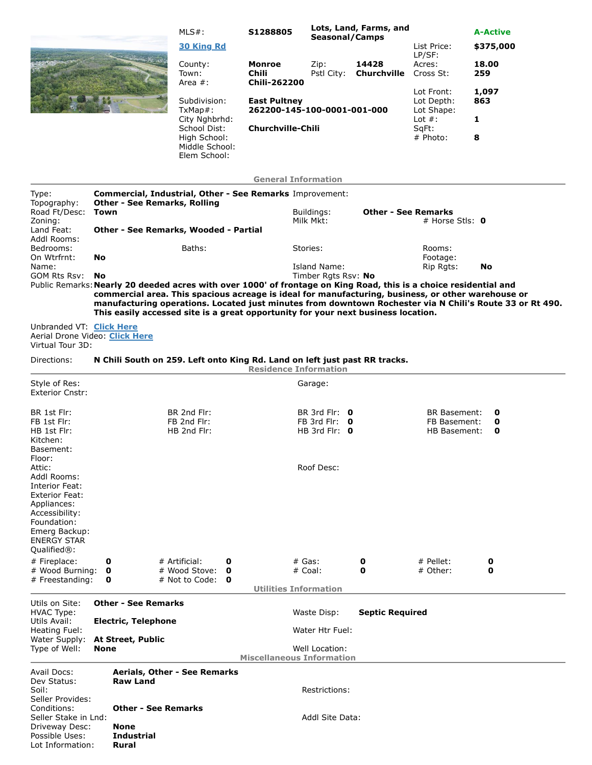|  | $MLS#$ :<br><b>30 King Rd</b>                 | Lots, Land, Farms, and<br>S1288805<br>Seasonal/Camps                           |                    |                      | List Price:<br>LP/SF:                                                         | <b>A-Active</b><br>\$375,000 |
|--|-----------------------------------------------|--------------------------------------------------------------------------------|--------------------|----------------------|-------------------------------------------------------------------------------|------------------------------|
|  | County:<br>Town:<br>Area $#$ :                | Monroe<br>Chili<br><b>Chili-262200</b>                                         | Zip:<br>Pstl City: | 14428<br>Churchville | Acres:<br>Cross St:                                                           | 18.00<br>259                 |
|  | Subdivision:<br>TxMap#:                       | <b>East Pultney</b><br>262200-145-100-0001-001-000<br><b>Churchville-Chili</b> |                    |                      | Lot Front:<br>Lot Depth:<br>Lot Shape:<br>Lot $#$ :<br>$SqFt$ :<br>$#$ Photo: | 1,097<br>863                 |
|  | City Nghbrhd:<br>School Dist:<br>High School: |                                                                                |                    |                      |                                                                               | 1<br>8                       |
|  | Middle School:<br>Elem School:                |                                                                                |                    |                      |                                                                               |                              |
|  |                                               | <b>General Information</b>                                                     |                    |                      |                                                                               |                              |

| Type:                                                                                                                                                                  |                                                                                 | Commercial, Industrial, Other - See Remarks Improvement: |                                                                                   |        |  |                                                    |        |  |                                                                                                                                                                                                                         |                                                                                                          |  |  |
|------------------------------------------------------------------------------------------------------------------------------------------------------------------------|---------------------------------------------------------------------------------|----------------------------------------------------------|-----------------------------------------------------------------------------------|--------|--|----------------------------------------------------|--------|--|-------------------------------------------------------------------------------------------------------------------------------------------------------------------------------------------------------------------------|----------------------------------------------------------------------------------------------------------|--|--|
| Topography:<br>Road Ft/Desc:                                                                                                                                           | Town                                                                            |                                                          | <b>Other - See Remarks, Rolling</b>                                               |        |  | Buildings:                                         |        |  | <b>Other - See Remarks</b>                                                                                                                                                                                              |                                                                                                          |  |  |
| Zoning:<br>Land Feat:<br>Addl Rooms:                                                                                                                                   | # Horse Stls: $\mathbf 0$<br>Milk Mkt:<br>Other - See Remarks, Wooded - Partial |                                                          |                                                                                   |        |  |                                                    |        |  |                                                                                                                                                                                                                         |                                                                                                          |  |  |
| Bedrooms:<br>On Wtrfrnt:                                                                                                                                               | No                                                                              |                                                          | Baths:                                                                            |        |  | Stories:                                           |        |  | Rooms:<br>Footage:                                                                                                                                                                                                      |                                                                                                          |  |  |
| Name:<br>GOM Rts Rsv:                                                                                                                                                  | No                                                                              |                                                          |                                                                                   |        |  | Island Name:<br>Timber Rgts Rsv: No                |        |  | Rip Rgts:                                                                                                                                                                                                               | No                                                                                                       |  |  |
|                                                                                                                                                                        |                                                                                 |                                                          | This easily accessed site is a great opportunity for your next business location. |        |  |                                                    |        |  | Public Remarks: Nearly 20 deeded acres with over 1000' of frontage on King Road, this is a choice residential and<br>commercial area. This spacious acreage is ideal for manufacturing, business, or other warehouse or | manufacturing operations. Located just minutes from downtown Rochester via N Chili's Route 33 or Rt 490. |  |  |
| Unbranded VT: Click Here<br>Aerial Drone Video: Click Here<br>Virtual Tour 3D:                                                                                         |                                                                                 |                                                          |                                                                                   |        |  |                                                    |        |  |                                                                                                                                                                                                                         |                                                                                                          |  |  |
| Directions:                                                                                                                                                            |                                                                                 |                                                          | N Chili South on 259. Left onto King Rd. Land on left just past RR tracks.        |        |  | <b>Residence Information</b>                       |        |  |                                                                                                                                                                                                                         |                                                                                                          |  |  |
| Style of Res:<br><b>Exterior Cnstr:</b>                                                                                                                                |                                                                                 |                                                          |                                                                                   |        |  | Garage:                                            |        |  |                                                                                                                                                                                                                         |                                                                                                          |  |  |
| BR 1st Flr:<br>FB 1st Flr:                                                                                                                                             |                                                                                 |                                                          | BR 2nd Flr:<br>FB 2nd Flr:                                                        |        |  | BR 3rd Flr: $\theta$<br>FB 3rd Flr: $\theta$       |        |  | <b>BR Basement:</b><br>FB Basement:                                                                                                                                                                                     | 0<br>0                                                                                                   |  |  |
| HB 1st Flr:<br>Kitchen:<br>Basement:<br>Floor:                                                                                                                         |                                                                                 |                                                          | HB 2nd Flr:                                                                       |        |  | HB 3rd Flr: $\theta$                               |        |  | <b>HB Basement:</b>                                                                                                                                                                                                     | $\mathbf{o}$                                                                                             |  |  |
| Attic:<br>Addl Rooms:<br>Interior Feat:<br><b>Exterior Feat:</b><br>Appliances:<br>Accessibility:<br>Foundation:<br>Emerg Backup:<br><b>ENERGY STAR</b><br>Qualified®: |                                                                                 |                                                          |                                                                                   |        |  | Roof Desc:                                         |        |  |                                                                                                                                                                                                                         |                                                                                                          |  |  |
| # Fireplace:<br># Wood Burning:                                                                                                                                        | 0<br>0                                                                          |                                                          | # Artificial:<br># Wood Stove:                                                    | 0<br>0 |  | $#$ Gas:<br>$#$ Coal:                              | 0<br>0 |  | $#$ Pellet:<br># Other:                                                                                                                                                                                                 | 0<br>0                                                                                                   |  |  |
| # Freestanding:                                                                                                                                                        | 0                                                                               |                                                          | # Not to Code: $\bullet$                                                          |        |  | <b>Utilities Information</b>                       |        |  |                                                                                                                                                                                                                         |                                                                                                          |  |  |
| Utils on Site:                                                                                                                                                         |                                                                                 | <b>Other - See Remarks</b>                               |                                                                                   |        |  |                                                    |        |  |                                                                                                                                                                                                                         |                                                                                                          |  |  |
| <b>HVAC Type:</b><br>Utils Avail:                                                                                                                                      |                                                                                 | <b>Electric, Telephone</b>                               |                                                                                   |        |  | Waste Disp:                                        |        |  | <b>Septic Required</b>                                                                                                                                                                                                  |                                                                                                          |  |  |
| Heating Fuel:<br>Water Supply:                                                                                                                                         |                                                                                 | <b>At Street, Public</b>                                 |                                                                                   |        |  | Water Htr Fuel:                                    |        |  |                                                                                                                                                                                                                         |                                                                                                          |  |  |
| Type of Well:                                                                                                                                                          | None                                                                            |                                                          |                                                                                   |        |  | Well Location:<br><b>Miscellaneous Information</b> |        |  |                                                                                                                                                                                                                         |                                                                                                          |  |  |
| Avail Docs:<br>Dev Status:<br>Soil:                                                                                                                                    |                                                                                 | <b>Raw Land</b>                                          | Aerials, Other - See Remarks                                                      |        |  | Restrictions:                                      |        |  |                                                                                                                                                                                                                         |                                                                                                          |  |  |
| Seller Provides:<br>Conditions:                                                                                                                                        |                                                                                 | <b>Other - See Remarks</b>                               |                                                                                   |        |  |                                                    |        |  |                                                                                                                                                                                                                         |                                                                                                          |  |  |
| Seller Stake in Lnd:<br>Driveway Desc:<br>Possible Uses:                                                                                                               |                                                                                 | <b>None</b><br><b>Industrial</b>                         |                                                                                   |        |  | Addl Site Data:                                    |        |  |                                                                                                                                                                                                                         |                                                                                                          |  |  |
| Lot Information:                                                                                                                                                       |                                                                                 | Rural                                                    |                                                                                   |        |  |                                                    |        |  |                                                                                                                                                                                                                         |                                                                                                          |  |  |